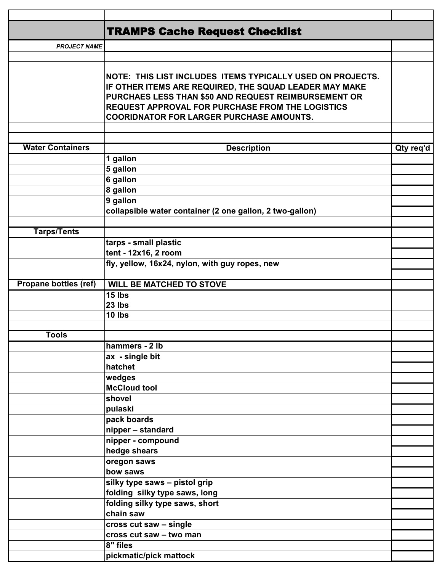|                         | <b>TRAMPS Cache Request Checklist</b>                      |           |
|-------------------------|------------------------------------------------------------|-----------|
| <b>PROJECT NAME</b>     |                                                            |           |
|                         |                                                            |           |
|                         |                                                            |           |
|                         | NOTE: THIS LIST INCLUDES ITEMS TYPICALLY USED ON PROJECTS. |           |
|                         | IF OTHER ITEMS ARE REQUIRED, THE SQUAD LEADER MAY MAKE     |           |
|                         | PURCHAES LESS THAN \$50 AND REQUEST REIMBURSEMENT OR       |           |
|                         | REQUEST APPROVAL FOR PURCHASE FROM THE LOGISTICS           |           |
|                         | <b>COORIDNATOR FOR LARGER PURCHASE AMOUNTS.</b>            |           |
|                         |                                                            |           |
| <b>Water Containers</b> | <b>Description</b>                                         |           |
|                         | 1 gallon                                                   | Qty req'd |
|                         | 5 gallon                                                   |           |
|                         | 6 gallon                                                   |           |
|                         | 8 gallon                                                   |           |
|                         | 9 gallon                                                   |           |
|                         | collapsible water container (2 one gallon, 2 two-gallon)   |           |
|                         |                                                            |           |
| <b>Tarps/Tents</b>      |                                                            |           |
|                         | tarps - small plastic                                      |           |
|                         | tent - 12x16, 2 room                                       |           |
|                         | fly, yellow, 16x24, nylon, with guy ropes, new             |           |
|                         |                                                            |           |
| Propane bottles (ref)   | <b>WILL BE MATCHED TO STOVE</b>                            |           |
|                         | 15 lbs                                                     |           |
|                         | 23 lbs                                                     |           |
|                         | 10 lbs                                                     |           |
|                         |                                                            |           |
| <b>Tools</b>            |                                                            |           |
|                         | hammers - 2 lb                                             |           |
|                         | ax - single bit                                            |           |
|                         | hatchet                                                    |           |
|                         | wedges                                                     |           |
|                         | <b>McCloud tool</b>                                        |           |
|                         | shovel                                                     |           |
|                         | pulaski                                                    |           |
|                         | pack boards                                                |           |
|                         | nipper - standard                                          |           |
|                         | nipper - compound<br>hedge shears                          |           |
|                         | oregon saws                                                |           |
|                         | bow saws                                                   |           |
|                         | silky type saws - pistol grip                              |           |
|                         | folding silky type saws, long                              |           |
|                         | folding silky type saws, short                             |           |
|                         | chain saw                                                  |           |
|                         | cross cut saw - single                                     |           |
|                         | cross cut saw - two man                                    |           |
|                         | 8" files                                                   |           |
|                         | pickmatic/pick mattock                                     |           |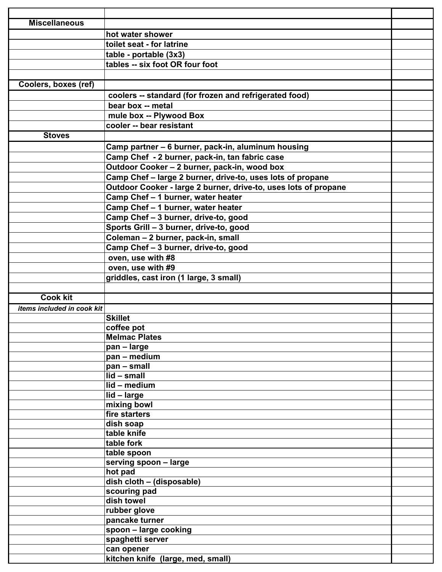| <b>Miscellaneous</b>       |                                                                 |  |
|----------------------------|-----------------------------------------------------------------|--|
|                            | hot water shower                                                |  |
|                            | toilet seat - for latrine                                       |  |
|                            | table - portable (3x3)                                          |  |
|                            | tables -- six foot OR four foot                                 |  |
|                            |                                                                 |  |
| Coolers, boxes (ref)       |                                                                 |  |
|                            | coolers -- standard (for frozen and refrigerated food)          |  |
|                            | bear box -- metal                                               |  |
|                            | mule box -- Plywood Box                                         |  |
|                            | cooler -- bear resistant                                        |  |
| <b>Stoves</b>              |                                                                 |  |
|                            |                                                                 |  |
|                            | Camp partner - 6 burner, pack-in, aluminum housing              |  |
|                            | Camp Chef - 2 burner, pack-in, tan fabric case                  |  |
|                            | Outdoor Cooker - 2 burner, pack-in, wood box                    |  |
|                            | Camp Chef - large 2 burner, drive-to, uses lots of propane      |  |
|                            | Outdoor Cooker - large 2 burner, drive-to, uses lots of propane |  |
|                            | Camp Chef - 1 burner, water heater                              |  |
|                            | Camp Chef - 1 burner, water heater                              |  |
|                            | Camp Chef - 3 burner, drive-to, good                            |  |
|                            | Sports Grill - 3 burner, drive-to, good                         |  |
|                            | Coleman - 2 burner, pack-in, small                              |  |
|                            | Camp Chef - 3 burner, drive-to, good                            |  |
|                            | oven, use with #8                                               |  |
|                            | oven, use with #9                                               |  |
|                            | griddles, cast iron (1 large, 3 small)                          |  |
|                            |                                                                 |  |
| <b>Cook kit</b>            |                                                                 |  |
| items included in cook kit |                                                                 |  |
|                            | <b>Skillet</b>                                                  |  |
|                            | coffee pot                                                      |  |
|                            | <b>Melmac Plates</b>                                            |  |
|                            | pan - large                                                     |  |
|                            | pan - medium                                                    |  |
|                            | pan - small                                                     |  |
|                            | lid - small                                                     |  |
|                            | lid - medium                                                    |  |
|                            | lid - large                                                     |  |
|                            | mixing bowl                                                     |  |
|                            | fire starters<br>dish soap                                      |  |
|                            | table knife                                                     |  |
|                            | table fork                                                      |  |
|                            | table spoon                                                     |  |
|                            | serving spoon - large                                           |  |
|                            | hot pad                                                         |  |
|                            | dish cloth - (disposable)                                       |  |
|                            | scouring pad                                                    |  |
|                            | dish towel                                                      |  |
|                            | rubber glove                                                    |  |
|                            | pancake turner                                                  |  |
|                            | spoon - large cooking                                           |  |
|                            | spaghetti server                                                |  |
|                            | can opener                                                      |  |
|                            | kitchen knife (large, med, small)                               |  |